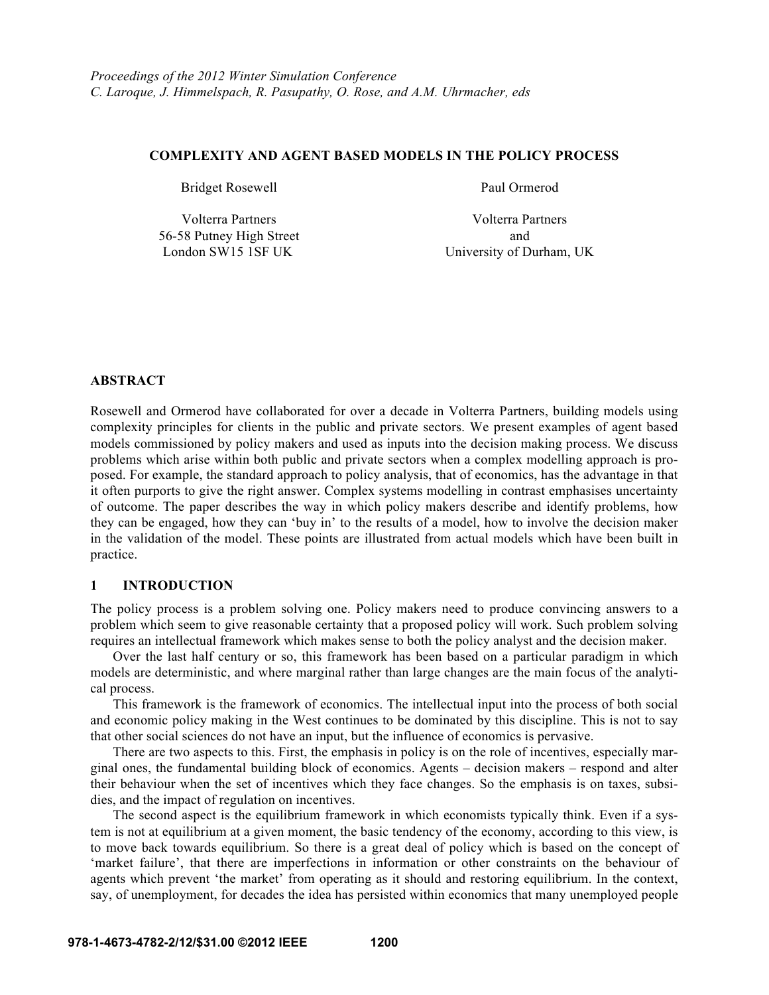### **COMPLEXITY AND AGENT BASED MODELS IN THE POLICY PROCESS**

Bridget Rosewell Paul Ormerod

56-58 Putney High Street and

Volterra Partners Volterra Partners London SW15 1SF UK University of Durham, UK

# **ABSTRACT**

Rosewell and Ormerod have collaborated for over a decade in Volterra Partners, building models using complexity principles for clients in the public and private sectors. We present examples of agent based models commissioned by policy makers and used as inputs into the decision making process. We discuss problems which arise within both public and private sectors when a complex modelling approach is proposed. For example, the standard approach to policy analysis, that of economics, has the advantage in that it often purports to give the right answer. Complex systems modelling in contrast emphasises uncertainty of outcome. The paper describes the way in which policy makers describe and identify problems, how they can be engaged, how they can 'buy in' to the results of a model, how to involve the decision maker in the validation of the model. These points are illustrated from actual models which have been built in practice.

## **1 INTRODUCTION**

The policy process is a problem solving one. Policy makers need to produce convincing answers to a problem which seem to give reasonable certainty that a proposed policy will work. Such problem solving requires an intellectual framework which makes sense to both the policy analyst and the decision maker.

 Over the last half century or so, this framework has been based on a particular paradigm in which models are deterministic, and where marginal rather than large changes are the main focus of the analytical process.

 This framework is the framework of economics. The intellectual input into the process of both social and economic policy making in the West continues to be dominated by this discipline. This is not to say that other social sciences do not have an input, but the influence of economics is pervasive.

 There are two aspects to this. First, the emphasis in policy is on the role of incentives, especially marginal ones, the fundamental building block of economics. Agents – decision makers – respond and alter their behaviour when the set of incentives which they face changes. So the emphasis is on taxes, subsidies, and the impact of regulation on incentives.

 The second aspect is the equilibrium framework in which economists typically think. Even if a system is not at equilibrium at a given moment, the basic tendency of the economy, according to this view, is to move back towards equilibrium. So there is a great deal of policy which is based on the concept of 'market failure', that there are imperfections in information or other constraints on the behaviour of agents which prevent 'the market' from operating as it should and restoring equilibrium. In the context, say, of unemployment, for decades the idea has persisted within economics that many unemployed people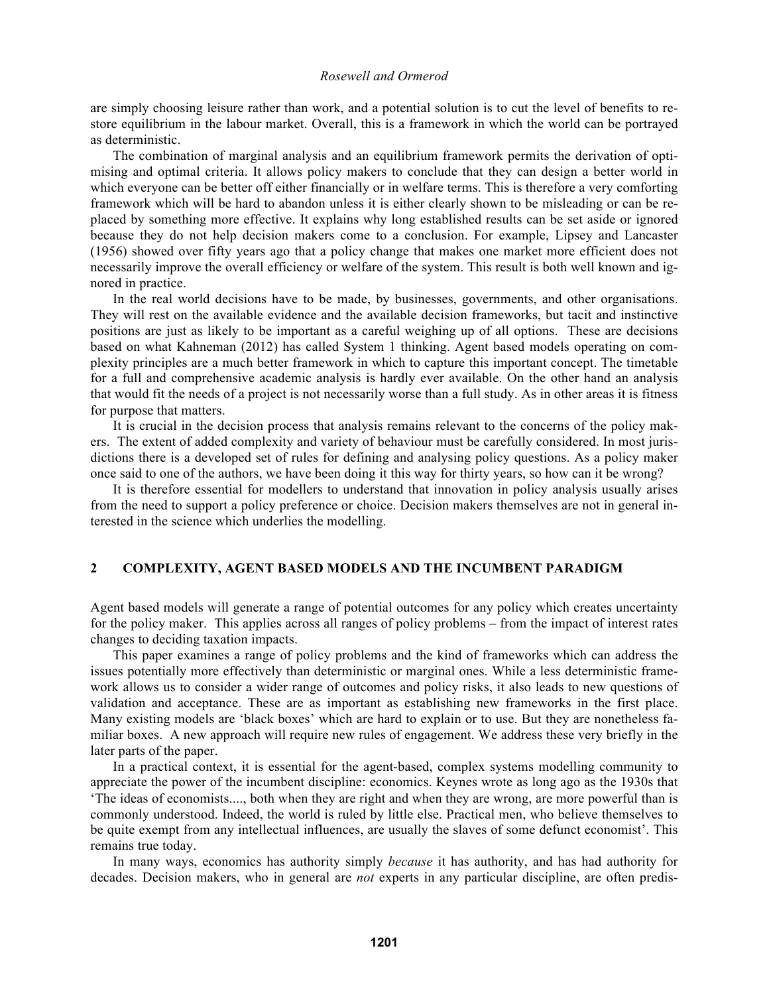are simply choosing leisure rather than work, and a potential solution is to cut the level of benefits to restore equilibrium in the labour market. Overall, this is a framework in which the world can be portrayed as deterministic.

 The combination of marginal analysis and an equilibrium framework permits the derivation of optimising and optimal criteria. It allows policy makers to conclude that they can design a better world in which everyone can be better off either financially or in welfare terms. This is therefore a very comforting framework which will be hard to abandon unless it is either clearly shown to be misleading or can be replaced by something more effective. It explains why long established results can be set aside or ignored because they do not help decision makers come to a conclusion. For example, Lipsey and Lancaster (1956) showed over fifty years ago that a policy change that makes one market more efficient does not necessarily improve the overall efficiency or welfare of the system. This result is both well known and ignored in practice.

 In the real world decisions have to be made, by businesses, governments, and other organisations. They will rest on the available evidence and the available decision frameworks, but tacit and instinctive positions are just as likely to be important as a careful weighing up of all options. These are decisions based on what Kahneman (2012) has called System 1 thinking. Agent based models operating on complexity principles are a much better framework in which to capture this important concept. The timetable for a full and comprehensive academic analysis is hardly ever available. On the other hand an analysis that would fit the needs of a project is not necessarily worse than a full study. As in other areas it is fitness for purpose that matters.

 It is crucial in the decision process that analysis remains relevant to the concerns of the policy makers. The extent of added complexity and variety of behaviour must be carefully considered. In most jurisdictions there is a developed set of rules for defining and analysing policy questions. As a policy maker once said to one of the authors, we have been doing it this way for thirty years, so how can it be wrong?

 It is therefore essential for modellers to understand that innovation in policy analysis usually arises from the need to support a policy preference or choice. Decision makers themselves are not in general interested in the science which underlies the modelling.

# **2 COMPLEXITY, AGENT BASED MODELS AND THE INCUMBENT PARADIGM**

Agent based models will generate a range of potential outcomes for any policy which creates uncertainty for the policy maker. This applies across all ranges of policy problems – from the impact of interest rates changes to deciding taxation impacts.

 This paper examines a range of policy problems and the kind of frameworks which can address the issues potentially more effectively than deterministic or marginal ones. While a less deterministic framework allows us to consider a wider range of outcomes and policy risks, it also leads to new questions of validation and acceptance. These are as important as establishing new frameworks in the first place. Many existing models are 'black boxes' which are hard to explain or to use. But they are nonetheless familiar boxes. A new approach will require new rules of engagement. We address these very briefly in the later parts of the paper.

 In a practical context, it is essential for the agent-based, complex systems modelling community to appreciate the power of the incumbent discipline: economics. Keynes wrote as long ago as the 1930s that 'The ideas of economists...., both when they are right and when they are wrong, are more powerful than is commonly understood. Indeed, the world is ruled by little else. Practical men, who believe themselves to be quite exempt from any intellectual influences, are usually the slaves of some defunct economist'. This remains true today.

 In many ways, economics has authority simply *because* it has authority, and has had authority for decades. Decision makers, who in general are *not* experts in any particular discipline, are often predis-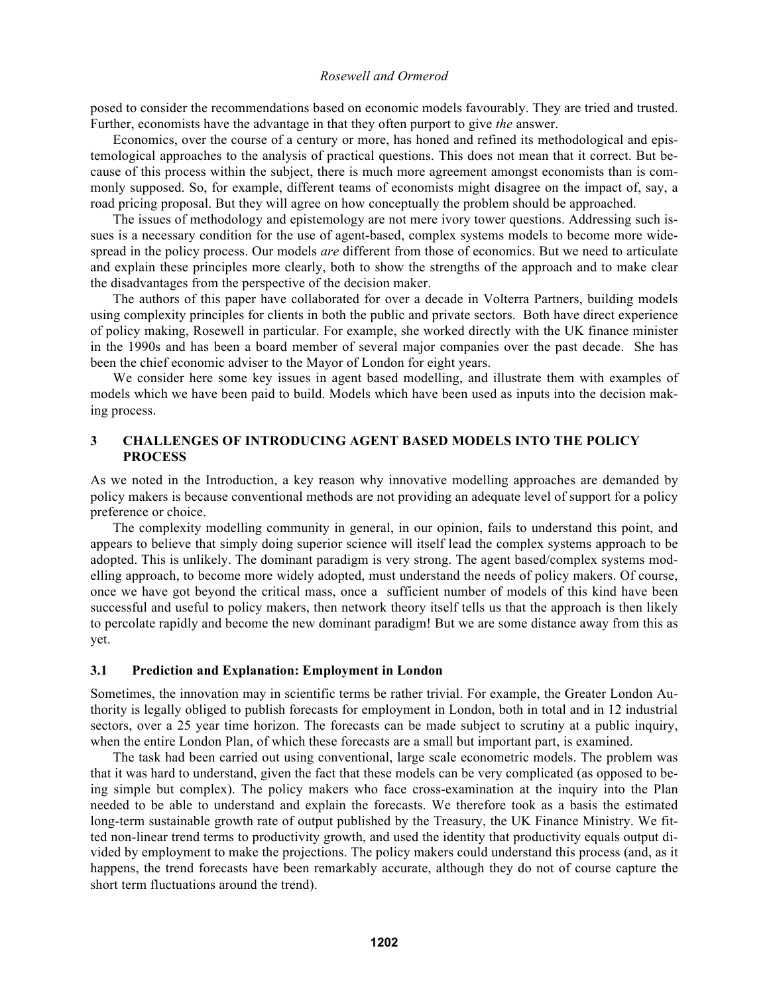posed to consider the recommendations based on economic models favourably. They are tried and trusted. Further, economists have the advantage in that they often purport to give *the* answer.

 Economics, over the course of a century or more, has honed and refined its methodological and epistemological approaches to the analysis of practical questions. This does not mean that it correct. But because of this process within the subject, there is much more agreement amongst economists than is commonly supposed. So, for example, different teams of economists might disagree on the impact of, say, a road pricing proposal. But they will agree on how conceptually the problem should be approached.

 The issues of methodology and epistemology are not mere ivory tower questions. Addressing such issues is a necessary condition for the use of agent-based, complex systems models to become more widespread in the policy process. Our models *are* different from those of economics. But we need to articulate and explain these principles more clearly, both to show the strengths of the approach and to make clear the disadvantages from the perspective of the decision maker.

 The authors of this paper have collaborated for over a decade in Volterra Partners, building models using complexity principles for clients in both the public and private sectors. Both have direct experience of policy making, Rosewell in particular. For example, she worked directly with the UK finance minister in the 1990s and has been a board member of several major companies over the past decade. She has been the chief economic adviser to the Mayor of London for eight years.

We consider here some key issues in agent based modelling, and illustrate them with examples of models which we have been paid to build. Models which have been used as inputs into the decision making process.

## **3 CHALLENGES OF INTRODUCING AGENT BASED MODELS INTO THE POLICY PROCESS**

As we noted in the Introduction, a key reason why innovative modelling approaches are demanded by policy makers is because conventional methods are not providing an adequate level of support for a policy preference or choice.

 The complexity modelling community in general, in our opinion, fails to understand this point, and appears to believe that simply doing superior science will itself lead the complex systems approach to be adopted. This is unlikely. The dominant paradigm is very strong. The agent based/complex systems modelling approach, to become more widely adopted, must understand the needs of policy makers. Of course, once we have got beyond the critical mass, once a sufficient number of models of this kind have been successful and useful to policy makers, then network theory itself tells us that the approach is then likely to percolate rapidly and become the new dominant paradigm! But we are some distance away from this as yet.

### **3.1 Prediction and Explanation: Employment in London**

Sometimes, the innovation may in scientific terms be rather trivial. For example, the Greater London Authority is legally obliged to publish forecasts for employment in London, both in total and in 12 industrial sectors, over a 25 year time horizon. The forecasts can be made subject to scrutiny at a public inquiry, when the entire London Plan, of which these forecasts are a small but important part, is examined.

 The task had been carried out using conventional, large scale econometric models. The problem was that it was hard to understand, given the fact that these models can be very complicated (as opposed to being simple but complex). The policy makers who face cross-examination at the inquiry into the Plan needed to be able to understand and explain the forecasts. We therefore took as a basis the estimated long-term sustainable growth rate of output published by the Treasury, the UK Finance Ministry. We fitted non-linear trend terms to productivity growth, and used the identity that productivity equals output divided by employment to make the projections. The policy makers could understand this process (and, as it happens, the trend forecasts have been remarkably accurate, although they do not of course capture the short term fluctuations around the trend).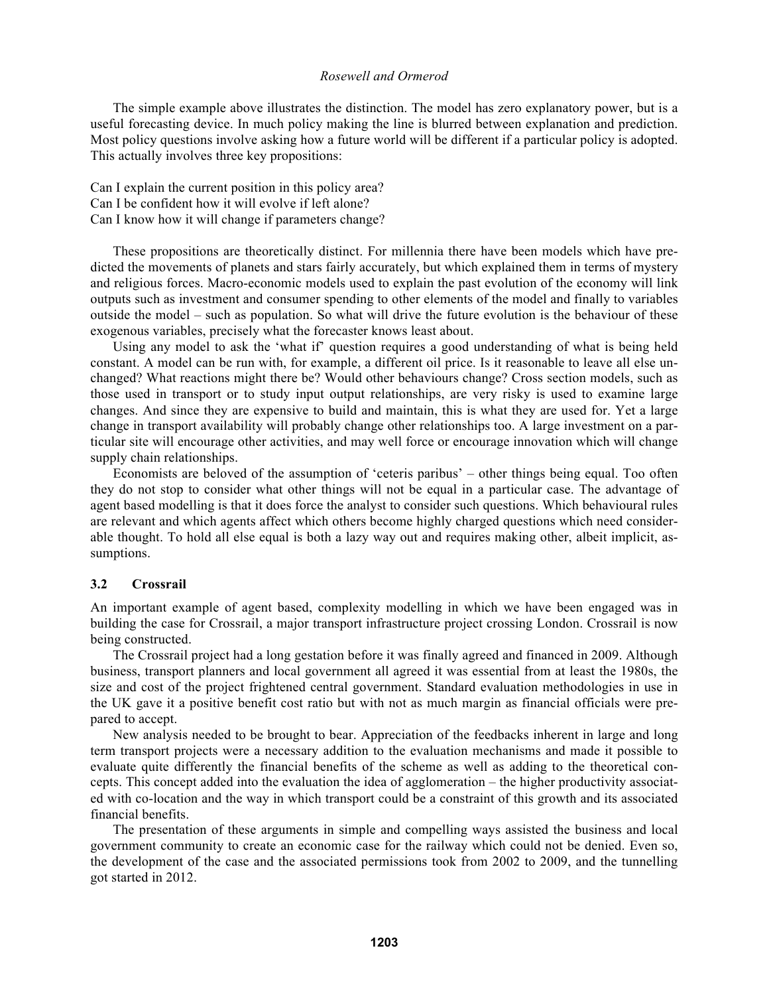The simple example above illustrates the distinction. The model has zero explanatory power, but is a useful forecasting device. In much policy making the line is blurred between explanation and prediction. Most policy questions involve asking how a future world will be different if a particular policy is adopted. This actually involves three key propositions:

Can I explain the current position in this policy area? Can I be confident how it will evolve if left alone? Can I know how it will change if parameters change?

 These propositions are theoretically distinct. For millennia there have been models which have predicted the movements of planets and stars fairly accurately, but which explained them in terms of mystery and religious forces. Macro-economic models used to explain the past evolution of the economy will link outputs such as investment and consumer spending to other elements of the model and finally to variables outside the model – such as population. So what will drive the future evolution is the behaviour of these exogenous variables, precisely what the forecaster knows least about.

 Using any model to ask the 'what if' question requires a good understanding of what is being held constant. A model can be run with, for example, a different oil price. Is it reasonable to leave all else unchanged? What reactions might there be? Would other behaviours change? Cross section models, such as those used in transport or to study input output relationships, are very risky is used to examine large changes. And since they are expensive to build and maintain, this is what they are used for. Yet a large change in transport availability will probably change other relationships too. A large investment on a particular site will encourage other activities, and may well force or encourage innovation which will change supply chain relationships.

 Economists are beloved of the assumption of 'ceteris paribus' – other things being equal. Too often they do not stop to consider what other things will not be equal in a particular case. The advantage of agent based modelling is that it does force the analyst to consider such questions. Which behavioural rules are relevant and which agents affect which others become highly charged questions which need considerable thought. To hold all else equal is both a lazy way out and requires making other, albeit implicit, assumptions.

## **3.2 Crossrail**

An important example of agent based, complexity modelling in which we have been engaged was in building the case for Crossrail, a major transport infrastructure project crossing London. Crossrail is now being constructed.

 The Crossrail project had a long gestation before it was finally agreed and financed in 2009. Although business, transport planners and local government all agreed it was essential from at least the 1980s, the size and cost of the project frightened central government. Standard evaluation methodologies in use in the UK gave it a positive benefit cost ratio but with not as much margin as financial officials were prepared to accept.

 New analysis needed to be brought to bear. Appreciation of the feedbacks inherent in large and long term transport projects were a necessary addition to the evaluation mechanisms and made it possible to evaluate quite differently the financial benefits of the scheme as well as adding to the theoretical concepts. This concept added into the evaluation the idea of agglomeration – the higher productivity associated with co-location and the way in which transport could be a constraint of this growth and its associated financial benefits.

 The presentation of these arguments in simple and compelling ways assisted the business and local government community to create an economic case for the railway which could not be denied. Even so, the development of the case and the associated permissions took from 2002 to 2009, and the tunnelling got started in 2012.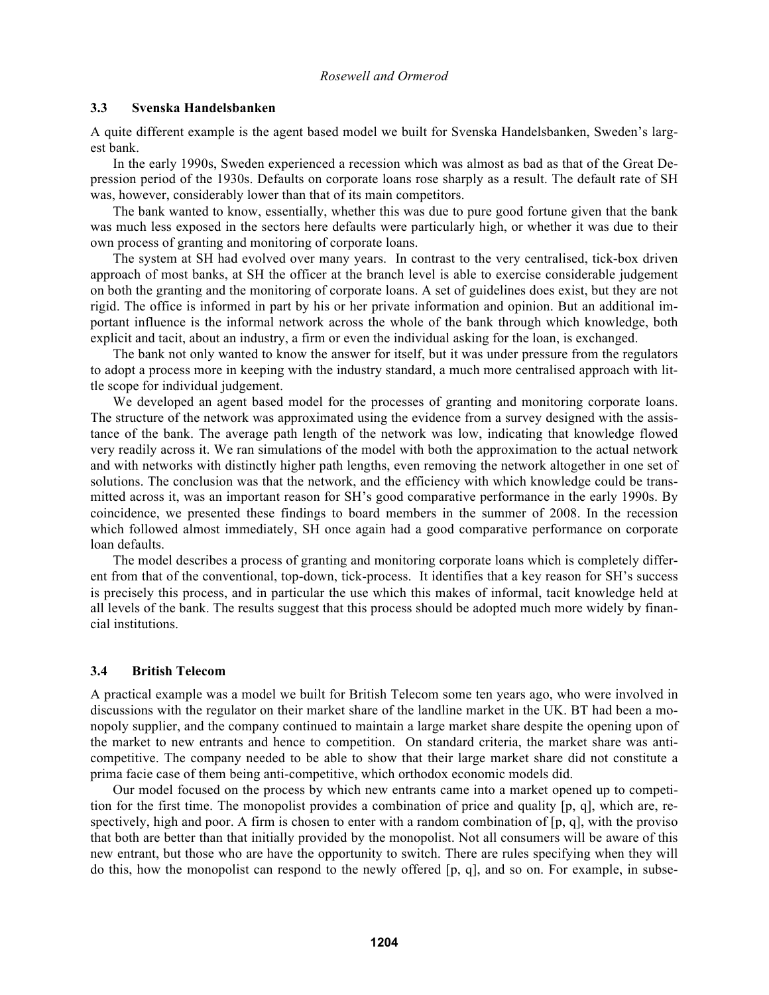### **3.3 Svenska Handelsbanken**

A quite different example is the agent based model we built for Svenska Handelsbanken, Sweden's largest bank.

 In the early 1990s, Sweden experienced a recession which was almost as bad as that of the Great Depression period of the 1930s. Defaults on corporate loans rose sharply as a result. The default rate of SH was, however, considerably lower than that of its main competitors.

 The bank wanted to know, essentially, whether this was due to pure good fortune given that the bank was much less exposed in the sectors here defaults were particularly high, or whether it was due to their own process of granting and monitoring of corporate loans.

 The system at SH had evolved over many years. In contrast to the very centralised, tick-box driven approach of most banks, at SH the officer at the branch level is able to exercise considerable judgement on both the granting and the monitoring of corporate loans. A set of guidelines does exist, but they are not rigid. The office is informed in part by his or her private information and opinion. But an additional important influence is the informal network across the whole of the bank through which knowledge, both explicit and tacit, about an industry, a firm or even the individual asking for the loan, is exchanged.

 The bank not only wanted to know the answer for itself, but it was under pressure from the regulators to adopt a process more in keeping with the industry standard, a much more centralised approach with little scope for individual judgement.

 We developed an agent based model for the processes of granting and monitoring corporate loans. The structure of the network was approximated using the evidence from a survey designed with the assistance of the bank. The average path length of the network was low, indicating that knowledge flowed very readily across it. We ran simulations of the model with both the approximation to the actual network and with networks with distinctly higher path lengths, even removing the network altogether in one set of solutions. The conclusion was that the network, and the efficiency with which knowledge could be transmitted across it, was an important reason for SH's good comparative performance in the early 1990s. By coincidence, we presented these findings to board members in the summer of 2008. In the recession which followed almost immediately, SH once again had a good comparative performance on corporate loan defaults.

 The model describes a process of granting and monitoring corporate loans which is completely different from that of the conventional, top-down, tick-process. It identifies that a key reason for SH's success is precisely this process, and in particular the use which this makes of informal, tacit knowledge held at all levels of the bank. The results suggest that this process should be adopted much more widely by financial institutions.

# **3.4 British Telecom**

A practical example was a model we built for British Telecom some ten years ago, who were involved in discussions with the regulator on their market share of the landline market in the UK. BT had been a monopoly supplier, and the company continued to maintain a large market share despite the opening upon of the market to new entrants and hence to competition. On standard criteria, the market share was anticompetitive. The company needed to be able to show that their large market share did not constitute a prima facie case of them being anti-competitive, which orthodox economic models did.

 Our model focused on the process by which new entrants came into a market opened up to competition for the first time. The monopolist provides a combination of price and quality [p, q], which are, respectively, high and poor. A firm is chosen to enter with a random combination of [p, q], with the proviso that both are better than that initially provided by the monopolist. Not all consumers will be aware of this new entrant, but those who are have the opportunity to switch. There are rules specifying when they will do this, how the monopolist can respond to the newly offered [p, q], and so on. For example, in subse-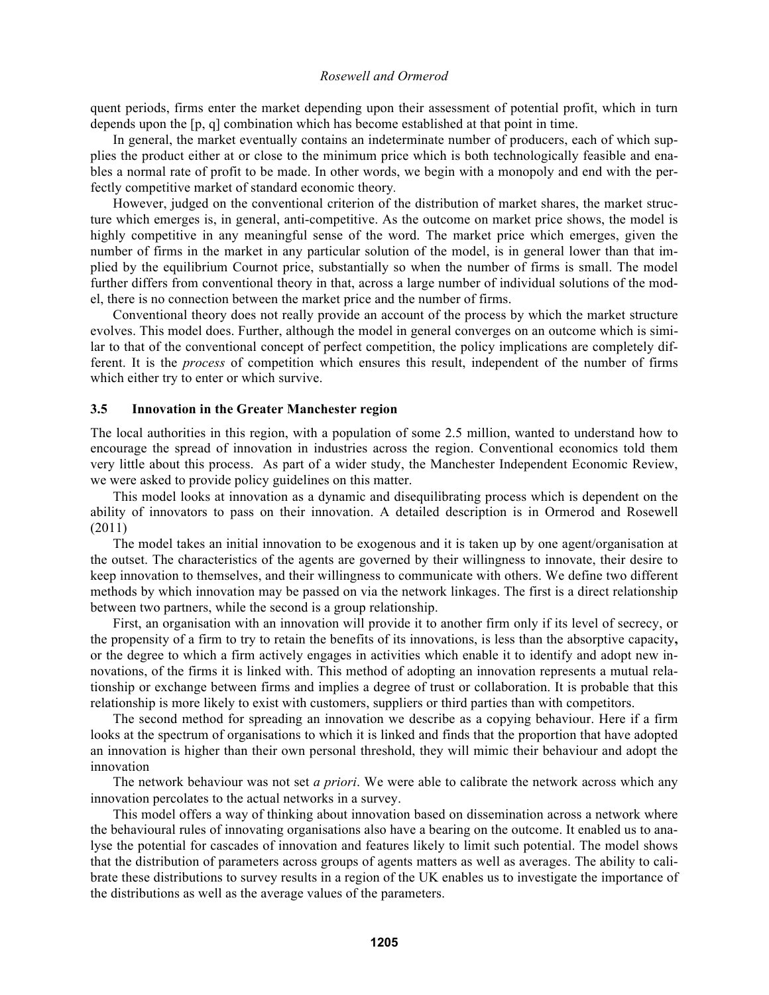quent periods, firms enter the market depending upon their assessment of potential profit, which in turn depends upon the [p, q] combination which has become established at that point in time.

 In general, the market eventually contains an indeterminate number of producers, each of which supplies the product either at or close to the minimum price which is both technologically feasible and enables a normal rate of profit to be made. In other words, we begin with a monopoly and end with the perfectly competitive market of standard economic theory*.* 

 However, judged on the conventional criterion of the distribution of market shares, the market structure which emerges is, in general, anti-competitive. As the outcome on market price shows, the model is highly competitive in any meaningful sense of the word. The market price which emerges, given the number of firms in the market in any particular solution of the model, is in general lower than that implied by the equilibrium Cournot price, substantially so when the number of firms is small. The model further differs from conventional theory in that, across a large number of individual solutions of the model, there is no connection between the market price and the number of firms.

 Conventional theory does not really provide an account of the process by which the market structure evolves. This model does. Further, although the model in general converges on an outcome which is similar to that of the conventional concept of perfect competition, the policy implications are completely different. It is the *process* of competition which ensures this result, independent of the number of firms which either try to enter or which survive.

# **3.5 Innovation in the Greater Manchester region**

The local authorities in this region, with a population of some 2.5 million, wanted to understand how to encourage the spread of innovation in industries across the region. Conventional economics told them very little about this process. As part of a wider study, the Manchester Independent Economic Review, we were asked to provide policy guidelines on this matter.

 This model looks at innovation as a dynamic and disequilibrating process which is dependent on the ability of innovators to pass on their innovation. A detailed description is in Ormerod and Rosewell (2011)

 The model takes an initial innovation to be exogenous and it is taken up by one agent/organisation at the outset. The characteristics of the agents are governed by their willingness to innovate, their desire to keep innovation to themselves, and their willingness to communicate with others. We define two different methods by which innovation may be passed on via the network linkages. The first is a direct relationship between two partners, while the second is a group relationship.

 First, an organisation with an innovation will provide it to another firm only if its level of secrecy, or the propensity of a firm to try to retain the benefits of its innovations, is less than the absorptive capacity**,** or the degree to which a firm actively engages in activities which enable it to identify and adopt new innovations, of the firms it is linked with. This method of adopting an innovation represents a mutual relationship or exchange between firms and implies a degree of trust or collaboration. It is probable that this relationship is more likely to exist with customers, suppliers or third parties than with competitors.

 The second method for spreading an innovation we describe as a copying behaviour. Here if a firm looks at the spectrum of organisations to which it is linked and finds that the proportion that have adopted an innovation is higher than their own personal threshold, they will mimic their behaviour and adopt the innovation

 The network behaviour was not set *a priori*. We were able to calibrate the network across which any innovation percolates to the actual networks in a survey.

 This model offers a way of thinking about innovation based on dissemination across a network where the behavioural rules of innovating organisations also have a bearing on the outcome. It enabled us to analyse the potential for cascades of innovation and features likely to limit such potential. The model shows that the distribution of parameters across groups of agents matters as well as averages. The ability to calibrate these distributions to survey results in a region of the UK enables us to investigate the importance of the distributions as well as the average values of the parameters.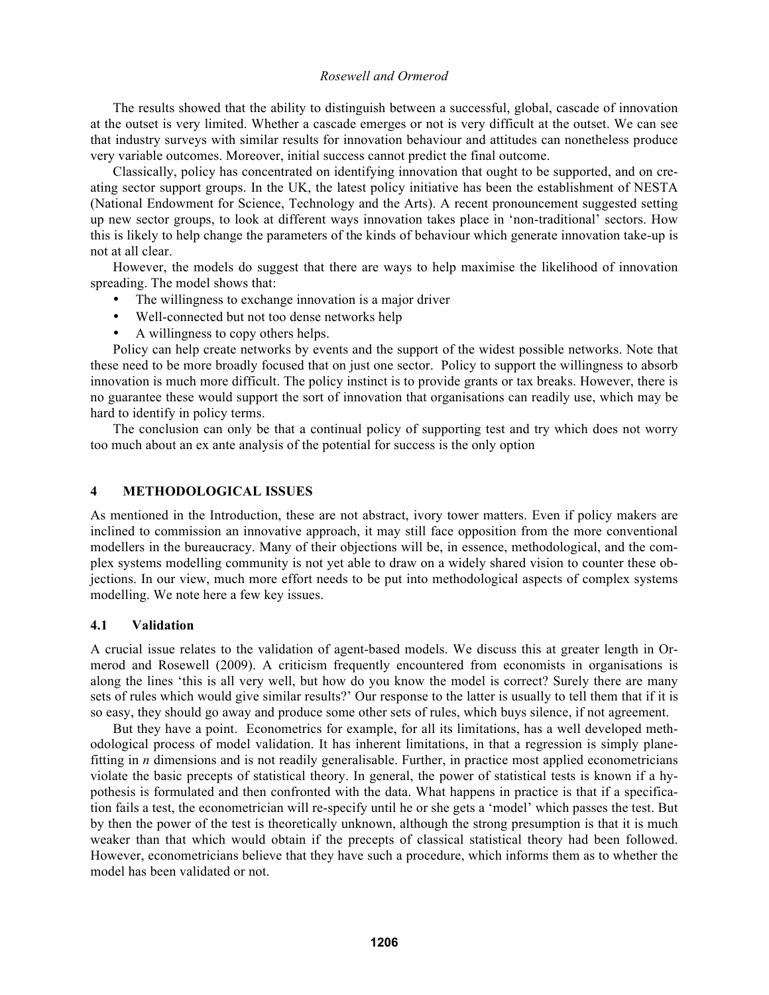The results showed that the ability to distinguish between a successful, global, cascade of innovation at the outset is very limited. Whether a cascade emerges or not is very difficult at the outset. We can see that industry surveys with similar results for innovation behaviour and attitudes can nonetheless produce very variable outcomes. Moreover, initial success cannot predict the final outcome.

 Classically, policy has concentrated on identifying innovation that ought to be supported, and on creating sector support groups. In the UK, the latest policy initiative has been the establishment of NESTA (National Endowment for Science, Technology and the Arts). A recent pronouncement suggested setting up new sector groups, to look at different ways innovation takes place in 'non-traditional' sectors. How this is likely to help change the parameters of the kinds of behaviour which generate innovation take-up is not at all clear.

 However, the models do suggest that there are ways to help maximise the likelihood of innovation spreading. The model shows that:

- The willingness to exchange innovation is a major driver
- Well-connected but not too dense networks help
- A willingness to copy others helps.

 Policy can help create networks by events and the support of the widest possible networks. Note that these need to be more broadly focused that on just one sector. Policy to support the willingness to absorb innovation is much more difficult. The policy instinct is to provide grants or tax breaks. However, there is no guarantee these would support the sort of innovation that organisations can readily use, which may be hard to identify in policy terms.

 The conclusion can only be that a continual policy of supporting test and try which does not worry too much about an ex ante analysis of the potential for success is the only option

# **4 METHODOLOGICAL ISSUES**

As mentioned in the Introduction, these are not abstract, ivory tower matters. Even if policy makers are inclined to commission an innovative approach, it may still face opposition from the more conventional modellers in the bureaucracy. Many of their objections will be, in essence, methodological, and the complex systems modelling community is not yet able to draw on a widely shared vision to counter these objections. In our view, much more effort needs to be put into methodological aspects of complex systems modelling. We note here a few key issues.

# **4.1 Validation**

A crucial issue relates to the validation of agent-based models. We discuss this at greater length in Ormerod and Rosewell (2009). A criticism frequently encountered from economists in organisations is along the lines 'this is all very well, but how do you know the model is correct? Surely there are many sets of rules which would give similar results?' Our response to the latter is usually to tell them that if it is so easy, they should go away and produce some other sets of rules, which buys silence, if not agreement.

 But they have a point. Econometrics for example, for all its limitations, has a well developed methodological process of model validation. It has inherent limitations, in that a regression is simply planefitting in *n* dimensions and is not readily generalisable. Further, in practice most applied econometricians violate the basic precepts of statistical theory. In general, the power of statistical tests is known if a hypothesis is formulated and then confronted with the data. What happens in practice is that if a specification fails a test, the econometrician will re-specify until he or she gets a 'model' which passes the test. But by then the power of the test is theoretically unknown, although the strong presumption is that it is much weaker than that which would obtain if the precepts of classical statistical theory had been followed. However, econometricians believe that they have such a procedure, which informs them as to whether the model has been validated or not.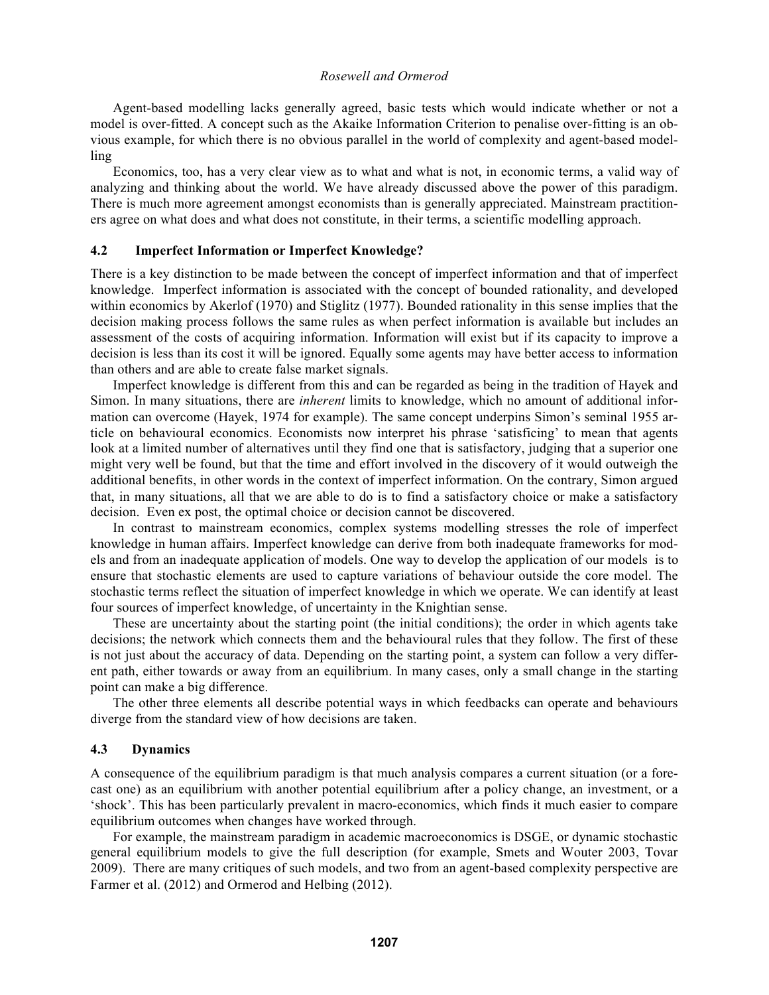Agent-based modelling lacks generally agreed, basic tests which would indicate whether or not a model is over-fitted. A concept such as the Akaike Information Criterion to penalise over-fitting is an obvious example, for which there is no obvious parallel in the world of complexity and agent-based modelling

 Economics, too, has a very clear view as to what and what is not, in economic terms, a valid way of analyzing and thinking about the world. We have already discussed above the power of this paradigm. There is much more agreement amongst economists than is generally appreciated. Mainstream practitioners agree on what does and what does not constitute, in their terms, a scientific modelling approach.

## **4.2 Imperfect Information or Imperfect Knowledge?**

There is a key distinction to be made between the concept of imperfect information and that of imperfect knowledge. Imperfect information is associated with the concept of bounded rationality, and developed within economics by Akerlof (1970) and Stiglitz (1977). Bounded rationality in this sense implies that the decision making process follows the same rules as when perfect information is available but includes an assessment of the costs of acquiring information. Information will exist but if its capacity to improve a decision is less than its cost it will be ignored. Equally some agents may have better access to information than others and are able to create false market signals.

 Imperfect knowledge is different from this and can be regarded as being in the tradition of Hayek and Simon. In many situations, there are *inherent* limits to knowledge, which no amount of additional information can overcome (Hayek, 1974 for example). The same concept underpins Simon's seminal 1955 article on behavioural economics. Economists now interpret his phrase 'satisficing' to mean that agents look at a limited number of alternatives until they find one that is satisfactory, judging that a superior one might very well be found, but that the time and effort involved in the discovery of it would outweigh the additional benefits, in other words in the context of imperfect information. On the contrary, Simon argued that, in many situations, all that we are able to do is to find a satisfactory choice or make a satisfactory decision. Even ex post, the optimal choice or decision cannot be discovered.

 In contrast to mainstream economics, complex systems modelling stresses the role of imperfect knowledge in human affairs. Imperfect knowledge can derive from both inadequate frameworks for models and from an inadequate application of models. One way to develop the application of our models is to ensure that stochastic elements are used to capture variations of behaviour outside the core model. The stochastic terms reflect the situation of imperfect knowledge in which we operate. We can identify at least four sources of imperfect knowledge, of uncertainty in the Knightian sense.

 These are uncertainty about the starting point (the initial conditions); the order in which agents take decisions; the network which connects them and the behavioural rules that they follow. The first of these is not just about the accuracy of data. Depending on the starting point, a system can follow a very different path, either towards or away from an equilibrium. In many cases, only a small change in the starting point can make a big difference.

 The other three elements all describe potential ways in which feedbacks can operate and behaviours diverge from the standard view of how decisions are taken.

### **4.3 Dynamics**

A consequence of the equilibrium paradigm is that much analysis compares a current situation (or a forecast one) as an equilibrium with another potential equilibrium after a policy change, an investment, or a 'shock'. This has been particularly prevalent in macro-economics, which finds it much easier to compare equilibrium outcomes when changes have worked through.

 For example, the mainstream paradigm in academic macroeconomics is DSGE, or dynamic stochastic general equilibrium models to give the full description (for example, Smets and Wouter 2003, Tovar 2009). There are many critiques of such models, and two from an agent-based complexity perspective are Farmer et al. (2012) and Ormerod and Helbing (2012).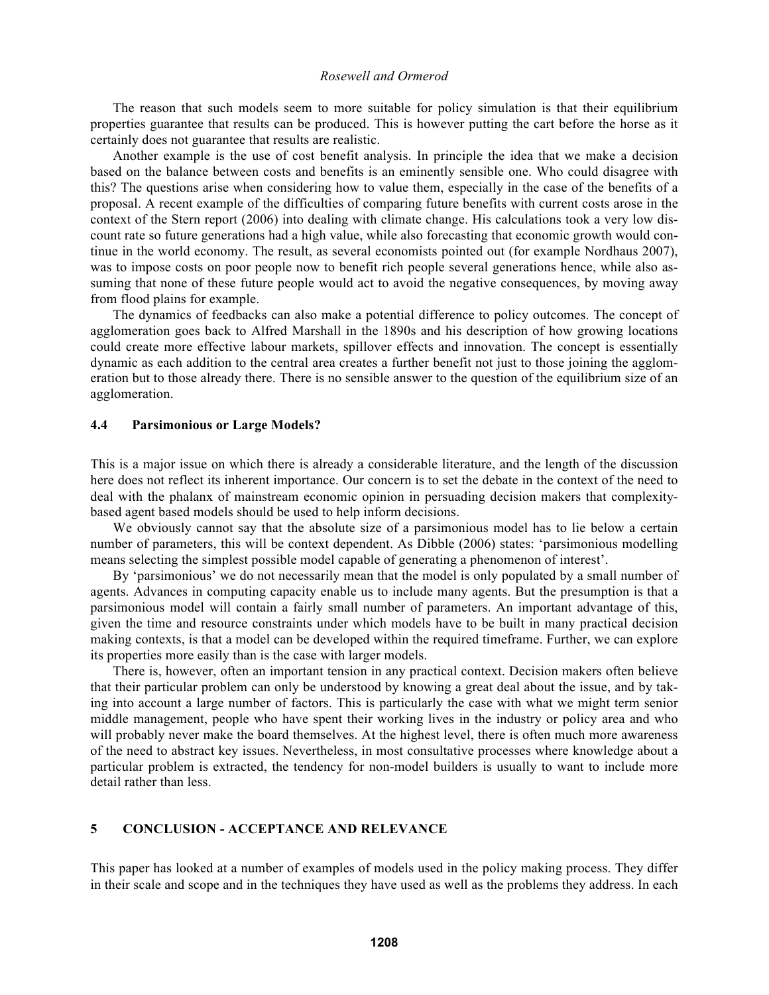The reason that such models seem to more suitable for policy simulation is that their equilibrium properties guarantee that results can be produced. This is however putting the cart before the horse as it certainly does not guarantee that results are realistic.

 Another example is the use of cost benefit analysis. In principle the idea that we make a decision based on the balance between costs and benefits is an eminently sensible one. Who could disagree with this? The questions arise when considering how to value them, especially in the case of the benefits of a proposal. A recent example of the difficulties of comparing future benefits with current costs arose in the context of the Stern report (2006) into dealing with climate change. His calculations took a very low discount rate so future generations had a high value, while also forecasting that economic growth would continue in the world economy. The result, as several economists pointed out (for example Nordhaus 2007), was to impose costs on poor people now to benefit rich people several generations hence, while also assuming that none of these future people would act to avoid the negative consequences, by moving away from flood plains for example.

 The dynamics of feedbacks can also make a potential difference to policy outcomes. The concept of agglomeration goes back to Alfred Marshall in the 1890s and his description of how growing locations could create more effective labour markets, spillover effects and innovation. The concept is essentially dynamic as each addition to the central area creates a further benefit not just to those joining the agglomeration but to those already there. There is no sensible answer to the question of the equilibrium size of an agglomeration.

### **4.4 Parsimonious or Large Models?**

This is a major issue on which there is already a considerable literature, and the length of the discussion here does not reflect its inherent importance. Our concern is to set the debate in the context of the need to deal with the phalanx of mainstream economic opinion in persuading decision makers that complexitybased agent based models should be used to help inform decisions.

 We obviously cannot say that the absolute size of a parsimonious model has to lie below a certain number of parameters, this will be context dependent. As Dibble (2006) states: 'parsimonious modelling means selecting the simplest possible model capable of generating a phenomenon of interest'.

 By 'parsimonious' we do not necessarily mean that the model is only populated by a small number of agents. Advances in computing capacity enable us to include many agents. But the presumption is that a parsimonious model will contain a fairly small number of parameters. An important advantage of this, given the time and resource constraints under which models have to be built in many practical decision making contexts, is that a model can be developed within the required timeframe. Further, we can explore its properties more easily than is the case with larger models.

 There is, however, often an important tension in any practical context. Decision makers often believe that their particular problem can only be understood by knowing a great deal about the issue, and by taking into account a large number of factors. This is particularly the case with what we might term senior middle management, people who have spent their working lives in the industry or policy area and who will probably never make the board themselves. At the highest level, there is often much more awareness of the need to abstract key issues. Nevertheless, in most consultative processes where knowledge about a particular problem is extracted, the tendency for non-model builders is usually to want to include more detail rather than less.

# **5 CONCLUSION - ACCEPTANCE AND RELEVANCE**

This paper has looked at a number of examples of models used in the policy making process. They differ in their scale and scope and in the techniques they have used as well as the problems they address. In each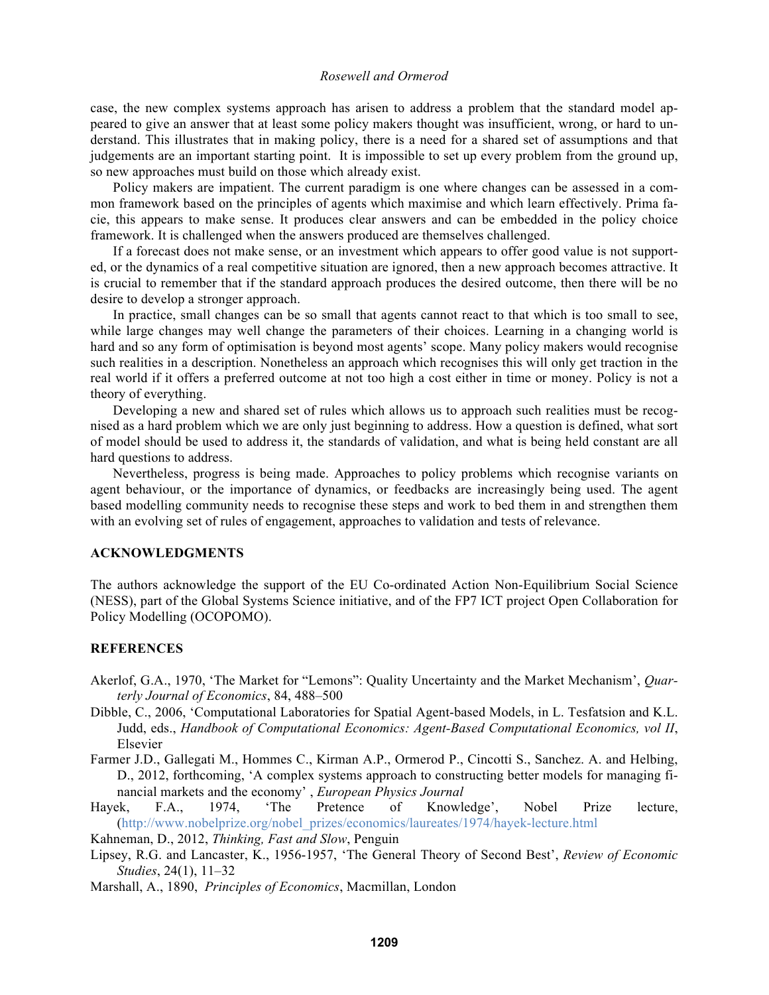case, the new complex systems approach has arisen to address a problem that the standard model appeared to give an answer that at least some policy makers thought was insufficient, wrong, or hard to understand. This illustrates that in making policy, there is a need for a shared set of assumptions and that judgements are an important starting point. It is impossible to set up every problem from the ground up, so new approaches must build on those which already exist.

 Policy makers are impatient. The current paradigm is one where changes can be assessed in a common framework based on the principles of agents which maximise and which learn effectively. Prima facie, this appears to make sense. It produces clear answers and can be embedded in the policy choice framework. It is challenged when the answers produced are themselves challenged.

If a forecast does not make sense, or an investment which appears to offer good value is not supported, or the dynamics of a real competitive situation are ignored, then a new approach becomes attractive. It is crucial to remember that if the standard approach produces the desired outcome, then there will be no desire to develop a stronger approach.

 In practice, small changes can be so small that agents cannot react to that which is too small to see, while large changes may well change the parameters of their choices. Learning in a changing world is hard and so any form of optimisation is beyond most agents' scope. Many policy makers would recognise such realities in a description. Nonetheless an approach which recognises this will only get traction in the real world if it offers a preferred outcome at not too high a cost either in time or money. Policy is not a theory of everything.

 Developing a new and shared set of rules which allows us to approach such realities must be recognised as a hard problem which we are only just beginning to address. How a question is defined, what sort of model should be used to address it, the standards of validation, and what is being held constant are all hard questions to address.

 Nevertheless, progress is being made. Approaches to policy problems which recognise variants on agent behaviour, or the importance of dynamics, or feedbacks are increasingly being used. The agent based modelling community needs to recognise these steps and work to bed them in and strengthen them with an evolving set of rules of engagement, approaches to validation and tests of relevance.

# **ACKNOWLEDGMENTS**

The authors acknowledge the support of the EU Co-ordinated Action Non-Equilibrium Social Science (NESS), part of the Global Systems Science initiative, and of the FP7 ICT project Open Collaboration for Policy Modelling (OCOPOMO).

### **REFERENCES**

- Akerlof, G.A., 1970, 'The Market for "Lemons": Quality Uncertainty and the Market Mechanism', *Quarterly Journal of Economics*, 84, 488–500
- Dibble, C., 2006, 'Computational Laboratories for Spatial Agent-based Models, in L. Tesfatsion and K.L. Judd, eds., *Handbook of Computational Economics: Agent-Based Computational Economics, vol II*, Elsevier
- Farmer J.D., Gallegati M., Hommes C., Kirman A.P., Ormerod P., Cincotti S., Sanchez. A. and Helbing, D., 2012, forthcoming, 'A complex systems approach to constructing better models for managing financial markets and the economy' , *European Physics Journal*
- Hayek, F.A., 1974, 'The Pretence of Knowledge', Nobel Prize lecture, (http://www.nobelprize.org/nobel\_prizes/economics/laureates/1974/hayek-lecture.html
- Kahneman, D., 2012, *Thinking, Fast and Slow*, Penguin
- Lipsey, R.G. and Lancaster, K., 1956-1957, 'The General Theory of Second Best', *Review of Economic Studies*, 24(1), 11–32

Marshall, A., 1890, *Principles of Economics*, Macmillan, London